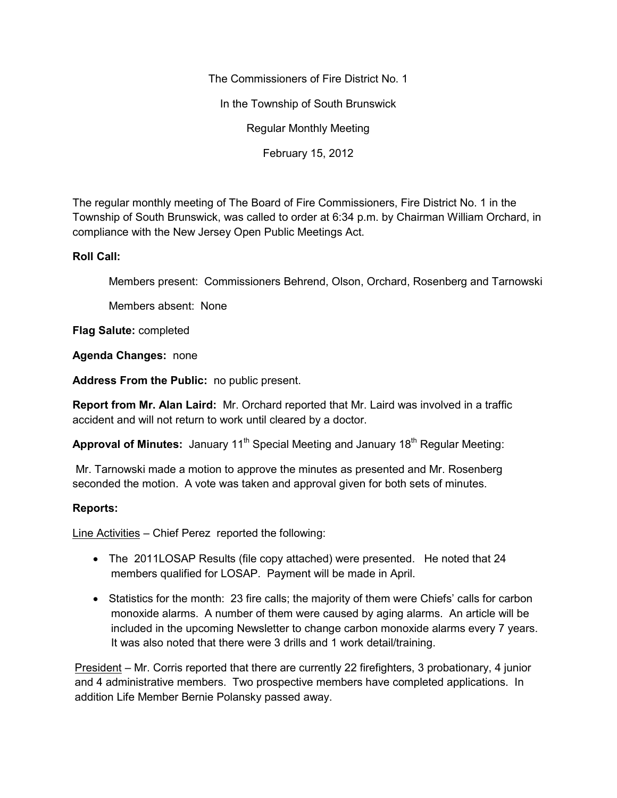The Commissioners of Fire District No. 1 In the Township of South Brunswick Regular Monthly Meeting February 15, 2012

The regular monthly meeting of The Board of Fire Commissioners, Fire District No. 1 in the Township of South Brunswick, was called to order at 6:34 p.m. by Chairman William Orchard, in compliance with the New Jersey Open Public Meetings Act.

## **Roll Call:**

Members present: Commissioners Behrend, Olson, Orchard, Rosenberg and Tarnowski

Members absent: None

**Flag Salute:** completed

**Agenda Changes:** none

**Address From the Public:** no public present.

**Report from Mr. Alan Laird:** Mr. Orchard reported that Mr. Laird was involved in a traffic accident and will not return to work until cleared by a doctor.

**Approval of Minutes:** January 11<sup>th</sup> Special Meeting and January 18<sup>th</sup> Regular Meeting:

Mr. Tarnowski made a motion to approve the minutes as presented and Mr. Rosenberg seconded the motion. A vote was taken and approval given for both sets of minutes.

## **Reports:**

Line Activities – Chief Perez reported the following:

- The 2011LOSAP Results (file copy attached) were presented. He noted that 24 members qualified for LOSAP. Payment will be made in April.
- Statistics for the month: 23 fire calls; the majority of them were Chiefs' calls for carbon monoxide alarms. A number of them were caused by aging alarms. An article will be included in the upcoming Newsletter to change carbon monoxide alarms every 7 years. It was also noted that there were 3 drills and 1 work detail/training.

President – Mr. Corris reported that there are currently 22 firefighters, 3 probationary, 4 junior and 4 administrative members. Two prospective members have completed applications. In addition Life Member Bernie Polansky passed away.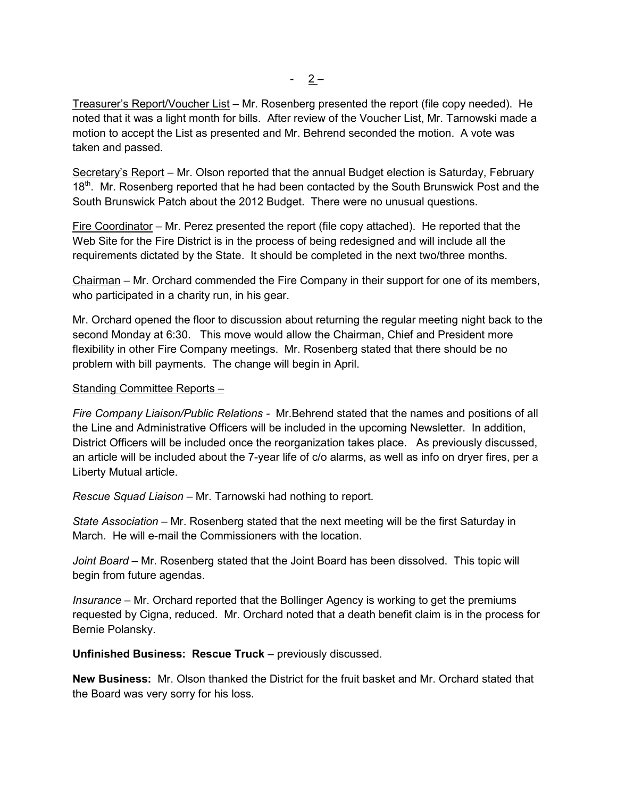Treasurer's Report/Voucher List – Mr. Rosenberg presented the report (file copy needed). He noted that it was a light month for bills. After review of the Voucher List, Mr. Tarnowski made a motion to accept the List as presented and Mr. Behrend seconded the motion. A vote was taken and passed.

Secretary's Report – Mr. Olson reported that the annual Budget election is Saturday, February 18<sup>th</sup>. Mr. Rosenberg reported that he had been contacted by the South Brunswick Post and the South Brunswick Patch about the 2012 Budget. There were no unusual questions.

Fire Coordinator – Mr. Perez presented the report (file copy attached). He reported that the Web Site for the Fire District is in the process of being redesigned and will include all the requirements dictated by the State. It should be completed in the next two/three months.

Chairman – Mr. Orchard commended the Fire Company in their support for one of its members, who participated in a charity run, in his gear.

Mr. Orchard opened the floor to discussion about returning the regular meeting night back to the second Monday at 6:30. This move would allow the Chairman, Chief and President more flexibility in other Fire Company meetings. Mr. Rosenberg stated that there should be no problem with bill payments. The change will begin in April.

## Standing Committee Reports –

*Fire Company Liaison/Public Relations -* Mr.Behrend stated that the names and positions of all the Line and Administrative Officers will be included in the upcoming Newsletter. In addition, District Officers will be included once the reorganization takes place. As previously discussed, an article will be included about the 7-year life of c/o alarms, as well as info on dryer fires, per a Liberty Mutual article.

*Rescue Squad Liaison –* Mr. Tarnowski had nothing to report.

*State Association –* Mr. Rosenberg stated that the next meeting will be the first Saturday in March. He will e-mail the Commissioners with the location.

*Joint Board –* Mr. Rosenberg stated that the Joint Board has been dissolved. This topic will begin from future agendas.

*Insurance –* Mr. Orchard reported that the Bollinger Agency is working to get the premiums requested by Cigna, reduced. Mr. Orchard noted that a death benefit claim is in the process for Bernie Polansky.

**Unfinished Business: Rescue Truck** – previously discussed.

**New Business:** Mr. Olson thanked the District for the fruit basket and Mr. Orchard stated that the Board was very sorry for his loss.